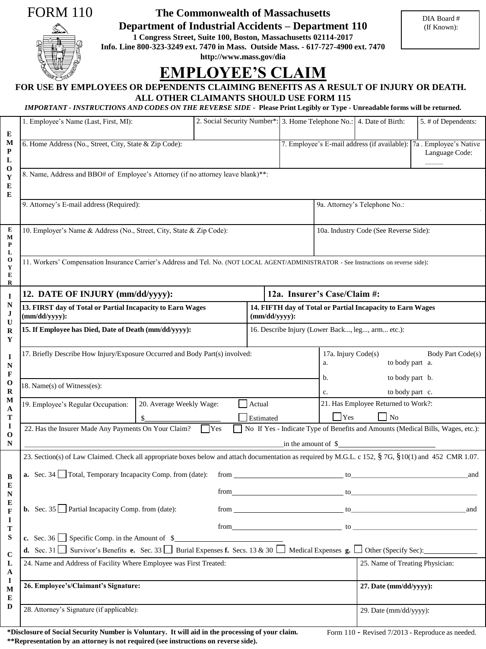## FORM 110

**The Commonwealth of Massachusetts** 

**Department of Industrial Accidents – Department 110** 

**1 Congress Street, Suite 100, Boston, Massachusetts 02114-2017 Info. Line 800-323-3249 ext. 7470 in Mass. Outside Mass. - 617-727-4900 ext. 7470**

**http://www.mass.gov/dia** 

# **EMPLOYEE'S CLAIM**

## **FOR USE BY EMPLOYEES OR DEPENDENTS CLAIMING BENEFITS AS A RESULT OF INJURY OR DEATH. ALL OTHER CLAIMANTS SHOULD USE FORM 115**

### *IMPORTANT - INSTRUCTIONS AND CODES ON THE REVERSE SIDE -* **Please Print Legibly or Type - Unreadable forms will be returned.**

|                                                       | 1. Employee's Name (Last, First, MI):                                                                                                                                       | 2. Social Security Number*: 3. Home Telephone No.: 4. Date of Birth: |             |                                                                                            |                                                                   |                                 |  | 5. # of Dependents: |  |
|-------------------------------------------------------|-----------------------------------------------------------------------------------------------------------------------------------------------------------------------------|----------------------------------------------------------------------|-------------|--------------------------------------------------------------------------------------------|-------------------------------------------------------------------|---------------------------------|--|---------------------|--|
| E                                                     |                                                                                                                                                                             |                                                                      |             |                                                                                            |                                                                   |                                 |  |                     |  |
| M<br>P<br>L                                           | 6. Home Address (No., Street, City, State & Zip Code):<br>7. Employee's E-mail address (if available): 7a . Employee's Native                                               |                                                                      |             |                                                                                            |                                                                   |                                 |  | Language Code:      |  |
| $\bf{O}$<br>Y<br>E<br>Е                               | 8. Name, Address and BBO# of Employee's Attorney (if no attorney leave blank)**:                                                                                            |                                                                      |             |                                                                                            |                                                                   |                                 |  |                     |  |
|                                                       | 9. Attorney's E-mail address (Required):                                                                                                                                    |                                                                      |             |                                                                                            | 9a. Attorney's Telephone No.:                                     |                                 |  |                     |  |
| Е<br>M<br>P<br>L                                      | 10. Employer's Name & Address (No., Street, City, State & Zip Code):                                                                                                        |                                                                      |             |                                                                                            | 10a. Industry Code (See Reverse Side):                            |                                 |  |                     |  |
| $\mathbf{o}$<br>Y<br>E<br>R                           | 11. Workers' Compensation Insurance Carrier's Address and Tel. No. (NOT LOCAL AGENT/ADMINISTRATOR - See Instructions on reverse side):                                      |                                                                      |             |                                                                                            |                                                                   |                                 |  |                     |  |
| $\mathbf I$                                           | 12. DATE OF INJURY (mm/dd/yyyy):                                                                                                                                            |                                                                      |             | 12a. Insurer's Case/Claim #:                                                               |                                                                   |                                 |  |                     |  |
| N<br>J<br>U<br>R<br>Y<br>1<br>N<br>F<br>$\bf{0}$<br>R | 13. FIRST day of Total or Partial Incapacity to Earn Wages<br>$(mm/dd/yyyy)$ :                                                                                              |                                                                      |             | 14. FIFTH day of Total or Partial Incapacity to Earn Wages<br>$(mm/dd/yyyy)$ :             |                                                                   |                                 |  |                     |  |
|                                                       | 15. If Employee has Died, Date of Death (mm/dd/yyyy):<br>16. Describe Injury (Lower Back, leg, arm etc.):                                                                   |                                                                      |             |                                                                                            |                                                                   |                                 |  |                     |  |
|                                                       | 17. Briefly Describe How Injury/Exposure Occurred and Body Part(s) involved:                                                                                                |                                                                      |             |                                                                                            | 17a. Injury Code(s)<br>Body Part Code(s)<br>to body part a.<br>a. |                                 |  |                     |  |
|                                                       | 18. Name(s) of Witness(es):                                                                                                                                                 |                                                                      |             |                                                                                            | b.<br>to body part b.<br>to body part c.<br>$\mathbf{c}$ .        |                                 |  |                     |  |
| M<br>A<br>Т                                           | 19. Employee's Regular Occupation:<br>20. Average Weekly Wage:<br>\$                                                                                                        |                                                                      |             | 21. Has Employee Returned to Work?:<br>Actual<br>$\Box$ Yes<br>$\overline{N}$<br>Estimated |                                                                   |                                 |  |                     |  |
| I<br>$\bf{0}$<br>N                                    | No If Yes - Indicate Type of Benefits and Amounts (Medical Bills, Wages, etc.):<br>22. Has the Insurer Made Any Payments On Your Claim?<br>  Yes<br>in the amount of $\$    |                                                                      |             |                                                                                            |                                                                   |                                 |  |                     |  |
| B<br>E<br>N<br>Е<br>F<br>1                            | 23. Section(s) of Law Claimed. Check all appropriate boxes below and attach documentation as required by M.G.L. c 152, § 7G, § 10(1) and 452 CMR 1.07.                      |                                                                      |             |                                                                                            |                                                                   |                                 |  |                     |  |
|                                                       | <b>a.</b> Sec. 34 $\Box$ Total, Temporary Incapacity Comp. from (date):                                                                                                     |                                                                      |             |                                                                                            |                                                                   | and                             |  |                     |  |
|                                                       |                                                                                                                                                                             |                                                                      | $from$ $to$ |                                                                                            |                                                                   |                                 |  |                     |  |
|                                                       | <b>b.</b> Sec. 35 Partial Incapacity Comp. from (date):                                                                                                                     |                                                                      |             | $from _______$ to $to _______$<br>and                                                      |                                                                   |                                 |  |                     |  |
| T<br>${\bf S}$                                        | from<br>to                                                                                                                                                                  |                                                                      |             |                                                                                            |                                                                   |                                 |  |                     |  |
| $\mathbf C$                                           | <b>d.</b> Sec. 31 $\Box$ Survivor's Benefits <b>e.</b> Sec. 33 $\Box$ Burial Expenses <b>f.</b> Secs. 13 & 30 $\Box$ Medical Expenses <b>g.</b> $\Box$ Other (Specify Sec): |                                                                      |             |                                                                                            |                                                                   |                                 |  |                     |  |
| L<br>A<br>I                                           | 24. Name and Address of Facility Where Employee was First Treated:                                                                                                          |                                                                      |             |                                                                                            |                                                                   | 25. Name of Treating Physician: |  |                     |  |
| M<br>E                                                | 26. Employee's/Claimant's Signature:                                                                                                                                        |                                                                      |             |                                                                                            |                                                                   | 27. Date (mm/dd/yyyy):          |  |                     |  |
| D                                                     | 28. Attorney's Signature (if applicable):                                                                                                                                   |                                                                      |             |                                                                                            |                                                                   | 29. Date (mm/dd/yyyy):          |  |                     |  |
|                                                       | *Disclosure of Social Security Number is Voluntary. It will aid in the processing of your claim.<br>Form 110 - Revised 7/2013 - Reproduce as needed.                        |                                                                      |             |                                                                                            |                                                                   |                                 |  |                     |  |

**\*\*Representation by an attorney is not required (see instructions on reverse side).** 

Form 110 - Revised 7/2013 - Reproduce as needed.

(If Known):